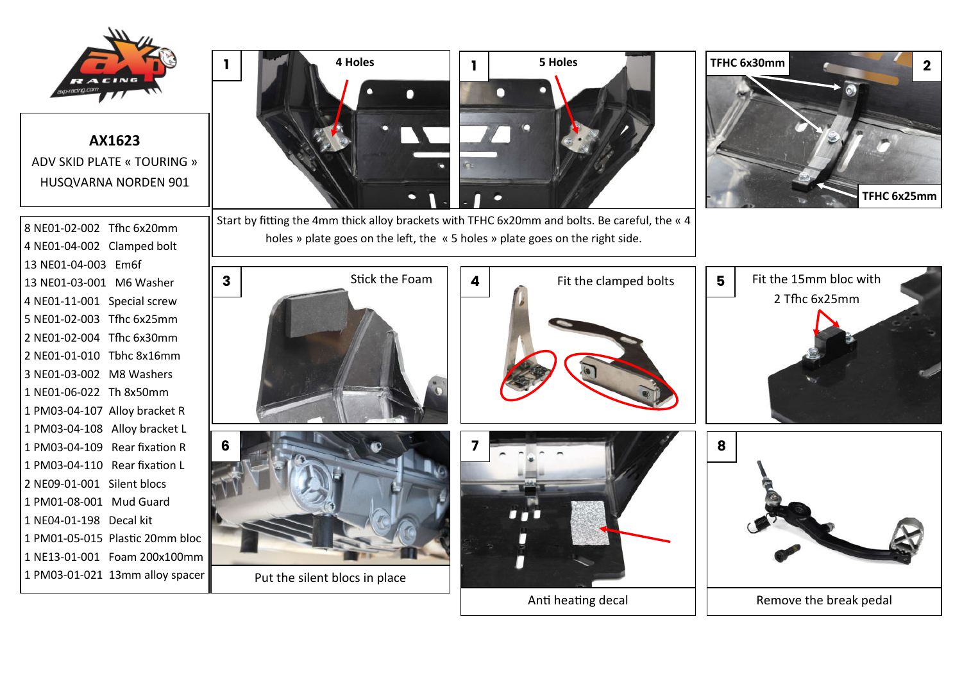

## **AX1623** ADV SKID PLATE « TOURING » HUSQVARNA NORDEN 901

8 NE01-02-002 Tfhc 6x20mm 4 NE01-04-002 Clamped bolt 13 NE01-04-003 Em6f 13 NE01-03-001 M6 Washer 4 NE01-11-001 Special screw 5 NE01-02-003 Tfhc 6x25mm 2 NE01-02-004 Tfhc 6x30mm 2 NE01-01-010 Tbhc 8x16mm 3 NE01-03-002 M8 Washers 1 NE01-06-022 Th 8x50mm 1 PM03-04-107 Alloy bracket R 1 PM03-04-108 Alloy bracket L 1 PM03-04-109 Rear fixation R 1 PM03-04-110 Rear fixation L 2 NE09-01-001 Silent blocs 1 PM01-08-001 Mud Guard 1 NE04-01-198 Decal kit 1 PM01-05-015 Plastic 20mm bloc 1 NE13-01-001 Foam 200x100mm 1 PM03-01-021 13mm alloy spacer



Start by fitting the 4mm thick alloy brackets with TFHC 6x20mm and bolts. Be careful, the « 4 holes » plate goes on the left, the « 5 holes » plate goes on the right side.



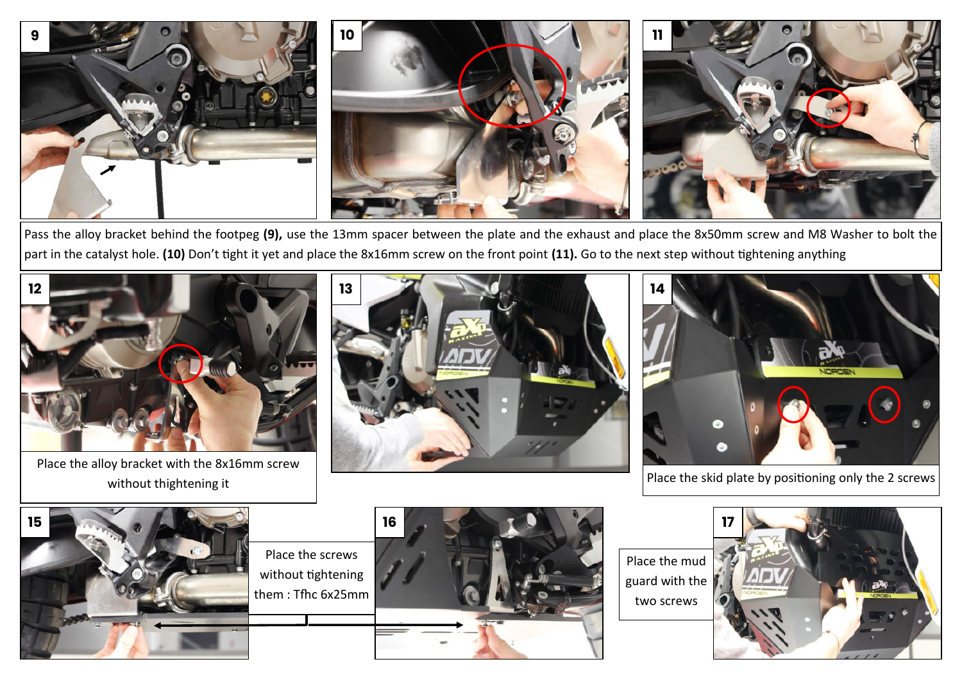

Pass the alloy bracket behind the footpeg **(9),** use the 13mm spacer between the plate and the exhaust and place the 8x50mm screw and M8 Washer to bolt the part in the catalyst hole. **(10)** Don't tight it yet and place the 8x16mm screw on the front point **(11).** Go to the next step without tightening anything



Place the alloy bracket with the 8x16mm screw











Place the mud guard with the two screws